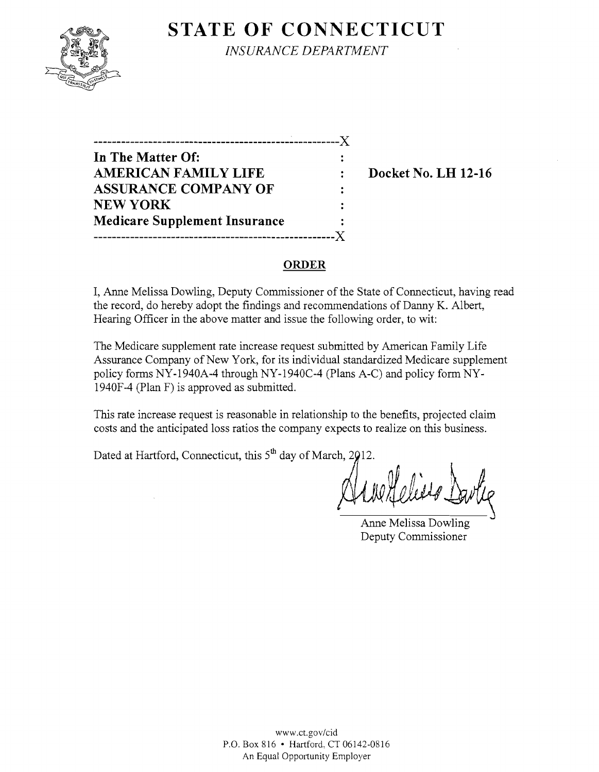

**STATE OF CONNECTICUT** 

*INSURANCE DEPARTMENT* 

-------------------------------------------~----------)( **In The Matter Of: AMERICAN FAMILY LIFE : Docket No. LH 12-16 ASSURANCE COMPANY OF**   $\ddot{\cdot}$ NEW YORK **Medicare Supplement Insurance -----------------------------------------------------)(** 

#### **ORDER**

I, Anne Melissa Dowling, Deputy Commissioner of the State of Connecticut, having read the record, do hereby adopt the findings and recommendations of Danny K. Albert, Hearing Officer in the above matter and issue the following order, to wit:

The Medicare supplement rate increase request submitted by American Family Life Assurance Company of New York, for its individual standardized Medicare supplement policy forms NY-1940A-4 through NY-1940C-4 (Plans A-C) and policy form NY-1940F**-4** (Plan F) is approved as submitted.

This rate increase request is reasonable in relationship to the benefits, projected claim costs and the anticipated loss ratios the company expects to realize on this business.

Dated at Hartford, Connecticut, this  $5<sup>th</sup>$  day of March, 2012.

Anne Melissa Dowling Deputy Commissioner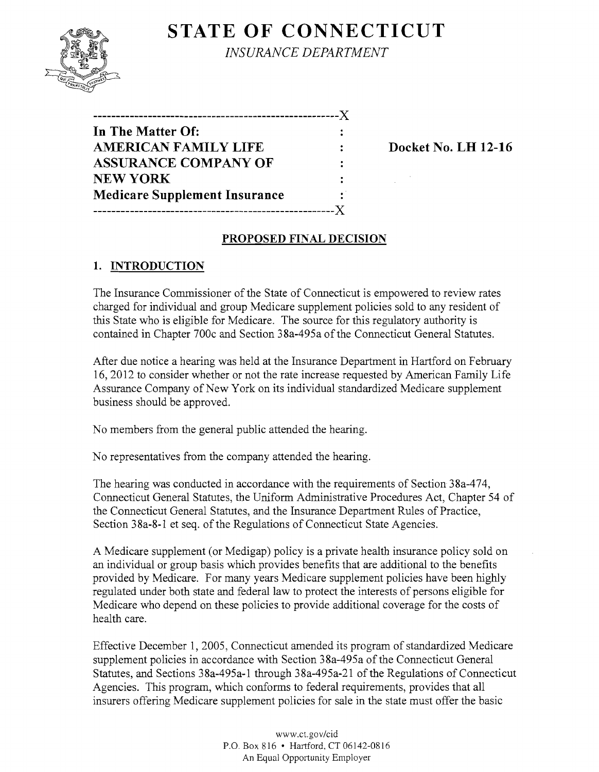# **STATE OF CONNECTICUT**



*INSURANCE DEPARTMENT* 

| In The Matter Of:                    |              |
|--------------------------------------|--------------|
| <b>AMERICAN FAMILY LIFE</b>          |              |
| <b>ASSURANCE COMPANY OF</b>          |              |
| <b>NEW YORK</b>                      |              |
| <b>Medicare Supplement Insurance</b> | $\mathbf{r}$ |
|                                      |              |

**Docket No. LH 12-16** 

#### **PROPOSED FINAL DECISION**

## **1. INTRODUCTION**

The Insurance Commissioner of the State of Connecticut is empowered to review rates charged for individual and group Medicare supplement policies sold to any resident of this State who is eligible for Medicare. The source for this regulatory authority is contained in Chapter 700c and Section 38a-495a of the Connecticut General Statutes.

After due notice a hearing was held at the Insurance Department in Hartford on February 16,2012 to consider whether or not the rate increase requested by American Family Life Assurance Company of New York on its individual standardized Medicare supplement business should be approved.

No members from the general public attended the hearing.

No representatives from the company attended the hearing.

The hearing was conducted in accordance with the requirements of Section 38a-474, Connecticut General Statutes, the Uniform Administrative Procedures Act, Chapter 54 of the Connecticut General Statutes, and the Insurance Department Rules of Practice, Section 38a-8-1 et seq. of the Regulations of Connecticut State Agencies.

A Medicare supplement (or Medigap) policy is a private health insurance policy sold on an individual or group basis which provides benefits that are additional to the benefits provided by Medicare. For many years Medicare supplement policies have been highly regulated under both state and federal law to protect the interests of persons eligible for Medicare who depend on these policies to provide additional coverage for the costs of health care.

Effective December 1,2005, Connecticut amended its program of standardized Medicare supplement policies in accordance with Section 38a-495a of the Connecticut General Statutes, and Sections 38a-495a-1 through 38a-495a-21 of the Regulations of Connecticut Agencies. This program, which conforms to federal requirements, provides that all insurers offering Medicare supplement policies for sale in the state must offer the basic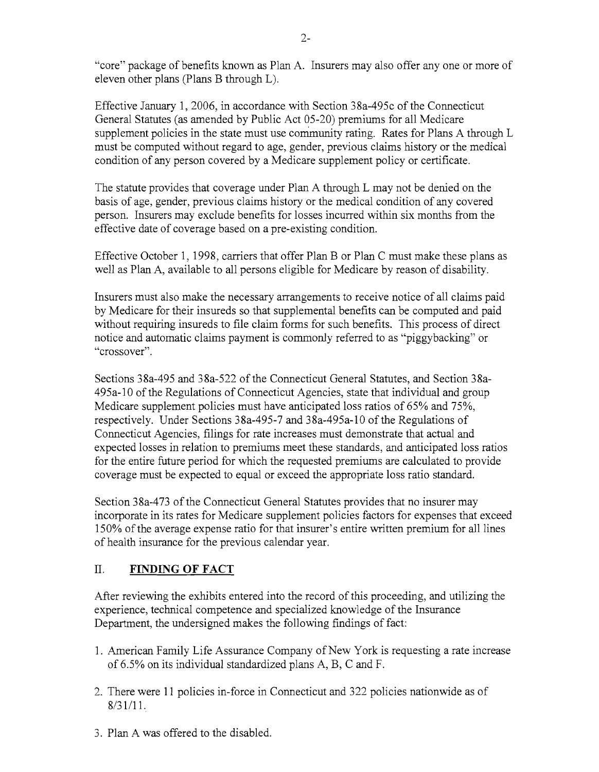"core" package of benefits known as Plan A. Insurers may also offer anyone or more of eleven other plans (Plans B through L).

Effective January 1, 2006, in accordance with Section 38a-495c of the Connecticut General Statutes (as amended by Public Act 05-20) premiums for all Medicare supplement policies in the state must use community rating. Rates for Plans A through L must be computed without regard to age, gender, previous claims history or the medical condition of any person covered by a Medicare supplement policy or certificate.

The statute provides that coverage under Plan A through L may not be denied on the basis of age, gender, previous claims history or the medical condition of any covered person. Insurers may exclude benefits for losses incurred within six months from the effective date of coverage based on a pre-existing condition.

Effective October 1, 1998, carriers that offer Plan B or Plan C must make these plans as well as Plan A, available to all persons eligible for Medicare by reason of disability.

Insurers must also make the necessary arrangements to receive notice of all claims paid by Medicare for their insureds so that supplemental benefits can be computed and paid without requiring insureds to file claim forms for such benefits. This process of direct notice and automatic claims payment is commonly referred to as "piggybacking" or "crossover".

Sections 38a-495 and 38a-522 of the Connecticut General Statutes, and Section 38a-495a-l0 of the Regulations of Connecticut Agencies, state that individual and group Medicare supplement policies must have anticipated loss ratios of 65% and 75%, respectively. Under Sections 38a-495-7 and 38a-495a-l0 of the Regulations of Connecticut Agencies, filings for rate increases must demonstrate that actual and expected losses in relation to premiums meet these standards, and anticipated loss ratios for the entire future period for which the requested premiums are calculated to provide coverage must be expected to equal or exceed the appropriate loss ratio standard.

Section 38a-473 of the Connecticut General Statutes provides that no insurer may incorporate in its rates for Medicare supplement policies factors for expenses that exceed 150% ofthe average expense ratio for that insurer's entire written premium for all lines of health insurance for the previous calendar year.

## II. **FINDING OF FACT**

After reviewing the exhibits entered into the record of this proceeding, and utilizing the experience, technical competence and specialized knowledge of the Insurance Department, the undersigned makes the following findings of fact:

- 1. American Family Life Assurance Company of New York is requesting a rate increase of 6.5% on its individual standardized plans A, B, C and F.
- 2. There were 11 policies in-force in Connecticut and 322 policies nationwide as of 8/31/11.
- 3. Plan A was offered to the disabled.